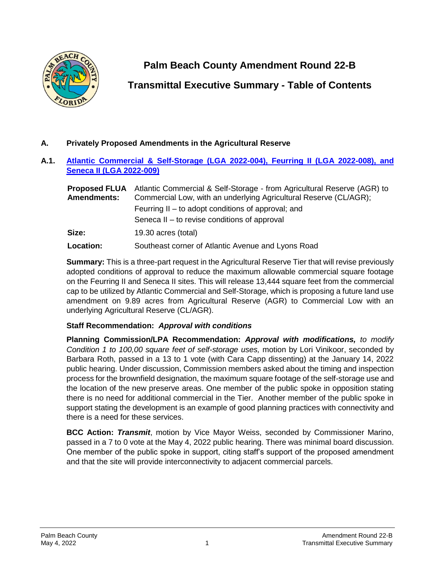

**Palm Beach County Amendment Round 22-B**

**Transmittal Executive Summary - Table of Contents**

- **A. Privately Proposed Amendments in the Agricultural Reserve**
- **A.1. Atlantic Commercial & Self-Storage (LGA 2022-004), Feurring II (LGA 2022-008), and Seneca II (LGA 2022-009)**

| <b>Proposed FLUA</b><br><b>Amendments:</b> | Atlantic Commercial & Self-Storage - from Agricultural Reserve (AGR) to<br>Commercial Low, with an underlying Agricultural Reserve (CL/AGR);<br>Feurring II – to adopt conditions of approval; and |
|--------------------------------------------|----------------------------------------------------------------------------------------------------------------------------------------------------------------------------------------------------|
|                                            | Seneca II – to revise conditions of approval                                                                                                                                                       |
| Size:                                      | 19.30 acres (total)                                                                                                                                                                                |
| <b>Location:</b>                           | Southeast corner of Atlantic Avenue and Lyons Road                                                                                                                                                 |

**Summary:** This is a three-part request in the Agricultural Reserve Tier that will revise previously adopted conditions of approval to reduce the maximum allowable commercial square footage on the Feurring II and Seneca II sites. This will release 13,444 square feet from the commercial cap to be utilized by Atlantic Commercial and Self-Storage, which is proposing a future land use amendment on 9.89 acres from Agricultural Reserve (AGR) to Commercial Low with an underlying Agricultural Reserve (CL/AGR).

## **Staff Recommendation:** *Approval with conditions*

**Planning Commission/LPA Recommendation:** *Approval with modifications, to modify Condition 1 to 100,00 square feet of self-storage uses,* motion by Lori Vinikoor, seconded by Barbara Roth, passed in a 13 to 1 vote (with Cara Capp dissenting) at the January 14, 2022 public hearing. Under discussion, Commission members asked about the timing and inspection process for the brownfield designation, the maximum square footage of the self-storage use and the location of the new preserve areas. One member of the public spoke in opposition stating there is no need for additional commercial in the Tier. Another member of the public spoke in support stating the development is an example of good planning practices with connectivity and there is a need for these services.

**BCC Action:** *Transmit*, motion by Vice Mayor Weiss, seconded by Commissioner Marino, passed in a 7 to 0 vote at the May 4, 2022 public hearing. There was minimal board discussion. One member of the public spoke in support, citing staff's support of the proposed amendment and that the site will provide interconnectivity to adjacent commercial parcels.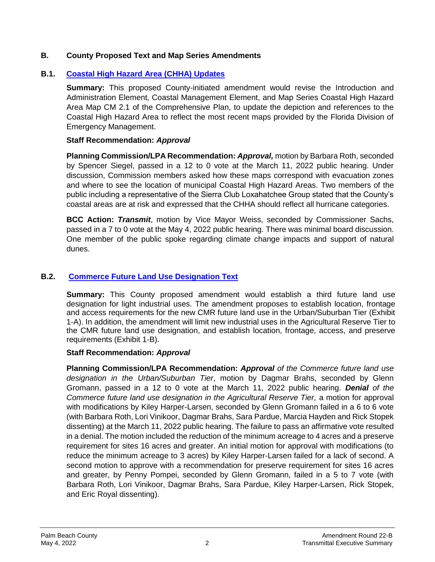## **B. County Proposed Text and Map Series Amendments**

# **B.1. Coastal High Hazard Area (CHHA) Updates**

**Summary:** This proposed County-initiated amendment would revise the Introduction and Administration Element, Coastal Management Element, and Map Series Coastal High Hazard Area Map CM 2.1 of the Comprehensive Plan, to update the depiction and references to the Coastal High Hazard Area to reflect the most recent maps provided by the Florida Division of Emergency Management.

## **Staff Recommendation:** *Approval*

**Planning Commission/LPA Recommendation:** *Approval,* motion by Barbara Roth, seconded by Spencer Siegel, passed in a 12 to 0 vote at the March 11, 2022 public hearing. Under discussion, Commission members asked how these maps correspond with evacuation zones and where to see the location of municipal Coastal High Hazard Areas. Two members of the public including a representative of the Sierra Club Loxahatchee Group stated that the County's coastal areas are at risk and expressed that the CHHA should reflect all hurricane categories.

**BCC Action:** *Transmit*, motion by Vice Mayor Weiss, seconded by Commissioner Sachs, passed in a 7 to 0 vote at the May 4, 2022 public hearing. There was minimal board discussion. One member of the public spoke regarding climate change impacts and support of natural dunes.

# **B.2. Commerce Future Land Use Designation Text**

**Summary:** This County proposed amendment would establish a third future land use designation for light industrial uses. The amendment proposes to establish location, frontage and access requirements for the new CMR future land use in the Urban/Suburban Tier (Exhibit 1-A). In addition, the amendment will limit new industrial uses in the Agricultural Reserve Tier to the CMR future land use designation, and establish location, frontage, access, and preserve requirements (Exhibit 1-B).

#### **Staff Recommendation:** *Approval*

**Planning Commission/LPA Recommendation:** *Approval of the Commerce future land use designation in the Urban/Suburban Tier*, motion by Dagmar Brahs, seconded by Glenn Gromann, passed in a 12 to 0 vote at the March 11, 2022 public hearing. *Denial of the*  Commerce future land use designation in the Agricultural Reserve Tier, a motion for approval with modifications by Kiley Harper-Larsen, seconded by Glenn Gromann failed in a 6 to 6 vote (with Barbara Roth, Lori Vinikoor, Dagmar Brahs, Sara Pardue, Marcia Hayden and Rick Stopek dissenting) at the March 11, 2022 public hearing. The failure to pass an affirmative vote resulted in a denial. The motion included the reduction of the minimum acreage to 4 acres and a preserve requirement for sites 16 acres and greater. An initial motion for approval with modifications (to reduce the minimum acreage to 3 acres) by Kiley Harper-Larsen failed for a lack of second. A second motion to approve with a recommendation for preserve requirement for sites 16 acres and greater, by Penny Pompei, seconded by Glenn Gromann, failed in a 5 to 7 vote (with Barbara Roth, Lori Vinikoor, Dagmar Brahs, Sara Pardue, Kiley Harper-Larsen, Rick Stopek, and Eric Royal dissenting).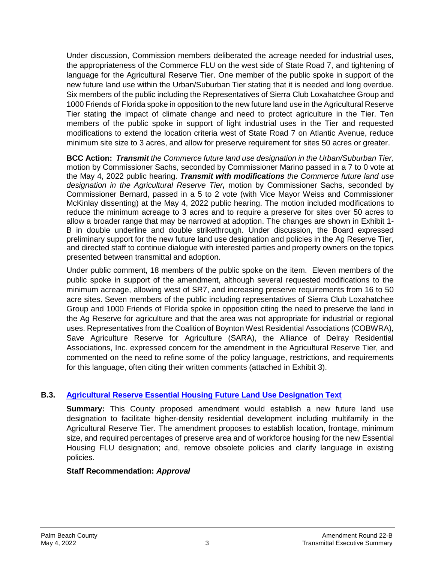Under discussion, Commission members deliberated the acreage needed for industrial uses, the appropriateness of the Commerce FLU on the west side of State Road 7, and tightening of language for the Agricultural Reserve Tier. One member of the public spoke in support of the new future land use within the Urban/Suburban Tier stating that it is needed and long overdue. Six members of the public including the Representatives of Sierra Club Loxahatchee Group and 1000 Friends of Florida spoke in opposition to the new future land use in the Agricultural Reserve Tier stating the impact of climate change and need to protect agriculture in the Tier. Ten members of the public spoke in support of light industrial uses in the Tier and requested modifications to extend the location criteria west of State Road 7 on Atlantic Avenue, reduce minimum site size to 3 acres, and allow for preserve requirement for sites 50 acres or greater.

**BCC Action:** *Transmit the Commerce future land use designation in the Urban/Suburban Tier,* motion by Commissioner Sachs, seconded by Commissioner Marino passed in a 7 to 0 vote at the May 4, 2022 public hearing. *Transmit with modifications the Commerce future land use designation in the Agricultural Reserve Tier,* motion by Commissioner Sachs, seconded by Commissioner Bernard, passed in a 5 to 2 vote (with Vice Mayor Weiss and Commissioner McKinlay dissenting) at the May 4, 2022 public hearing. The motion included modifications to reduce the minimum acreage to 3 acres and to require a preserve for sites over 50 acres to allow a broader range that may be narrowed at adoption. The changes are shown in Exhibit 1- B in double underline and double strikethrough. Under discussion, the Board expressed preliminary support for the new future land use designation and policies in the Ag Reserve Tier, and directed staff to continue dialogue with interested parties and property owners on the topics presented between transmittal and adoption.

Under public comment, 18 members of the public spoke on the item. Eleven members of the public spoke in support of the amendment, although several requested modifications to the minimum acreage, allowing west of SR7, and increasing preserve requirements from 16 to 50 acre sites. Seven members of the public including representatives of Sierra Club Loxahatchee Group and 1000 Friends of Florida spoke in opposition citing the need to preserve the land in the Ag Reserve for agriculture and that the area was not appropriate for industrial or regional uses. Representatives from the Coalition of Boynton West Residential Associations (COBWRA), Save Agriculture Reserve for Agriculture (SARA), the Alliance of Delray Residential Associations, Inc. expressed concern for the amendment in the Agricultural Reserve Tier, and commented on the need to refine some of the policy language, restrictions, and requirements for this language, often citing their written comments (attached in Exhibit 3).

#### **B.3. Agricultural Reserve Essential Housing Future Land Use Designation Text**

**Summary:** This County proposed amendment would establish a new future land use designation to facilitate higher-density residential development including multifamily in the Agricultural Reserve Tier. The amendment proposes to establish location, frontage, minimum size, and required percentages of preserve area and of workforce housing for the new Essential Housing FLU designation; and, remove obsolete policies and clarify language in existing policies.

#### **Staff Recommendation:** *Approval*